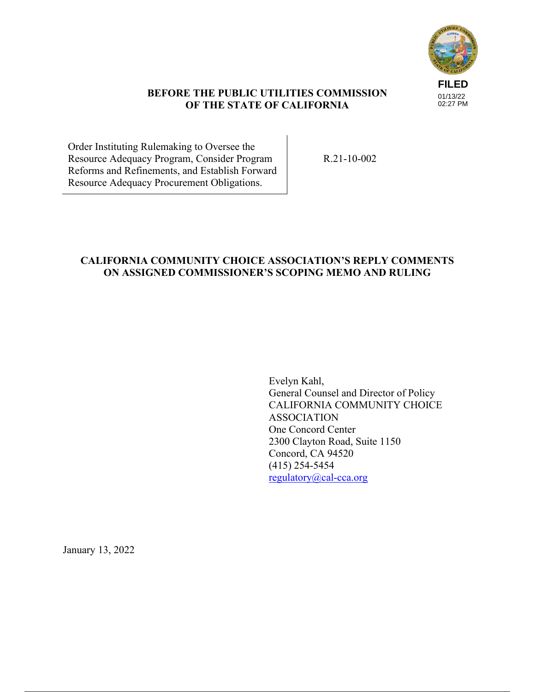

## **BEFORE THE PUBLIC UTILITIES COMMISSION OF THE STATE OF CALIFORNIA**

Order Instituting Rulemaking to Oversee the Resource Adequacy Program, Consider Program Reforms and Refinements, and Establish Forward Resource Adequacy Procurement Obligations.

R.21-10-002

## **CALIFORNIA COMMUNITY CHOICE ASSOCIATION'S REPLY COMMENTS ON ASSIGNED COMMISSIONER'S SCOPING MEMO AND RULING**

Evelyn Kahl, General Counsel and Director of Policy CALIFORNIA COMMUNITY CHOICE ASSOCIATION One Concord Center 2300 Clayton Road, Suite 1150 Concord, CA 94520 (415) 254-5454 regulatory@cal-cca.org

January 13, 2022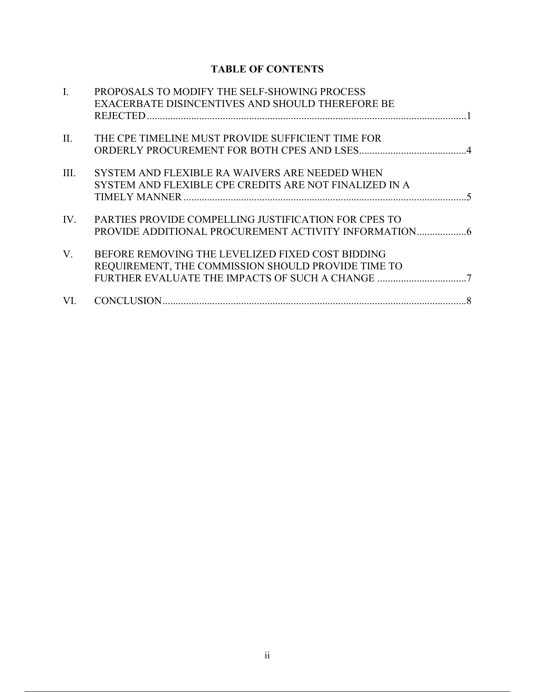# **TABLE OF CONTENTS**

| $\mathbf{I}$ . | PROPOSALS TO MODIFY THE SELF-SHOWING PROCESS<br>EXACERBATE DISINCENTIVES AND SHOULD THEREFORE BE            |
|----------------|-------------------------------------------------------------------------------------------------------------|
| $\Pi$ .        | THE CPE TIMELINE MUST PROVIDE SUFFICIENT TIME FOR                                                           |
|                |                                                                                                             |
| III.           | SYSTEM AND FLEXIBLE RA WAIVERS ARE NEEDED WHEN<br>SYSTEM AND FLEXIBLE CPE CREDITS ARE NOT FINALIZED IN A    |
| IV.            | PARTIES PROVIDE COMPELLING JUSTIFICATION FOR CPES TO<br>PROVIDE ADDITIONAL PROCUREMENT ACTIVITY INFORMATION |
| V.             | BEFORE REMOVING THE LEVELIZED FIXED COST BIDDING<br>REQUIREMENT, THE COMMISSION SHOULD PROVIDE TIME TO      |
| VI.            |                                                                                                             |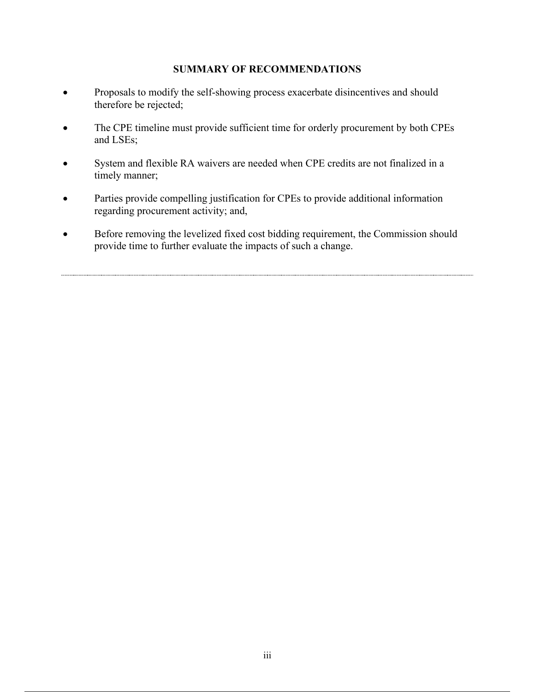## **SUMMARY OF RECOMMENDATIONS**

- Proposals to modify the self-showing process exacerbate disincentives and should therefore be rejected;
- The CPE timeline must provide sufficient time for orderly procurement by both CPEs and LSEs;
- System and flexible RA waivers are needed when CPE credits are not finalized in a timely manner;
- Parties provide compelling justification for CPEs to provide additional information regarding procurement activity; and,
- Before removing the levelized fixed cost bidding requirement, the Commission should provide time to further evaluate the impacts of such a change.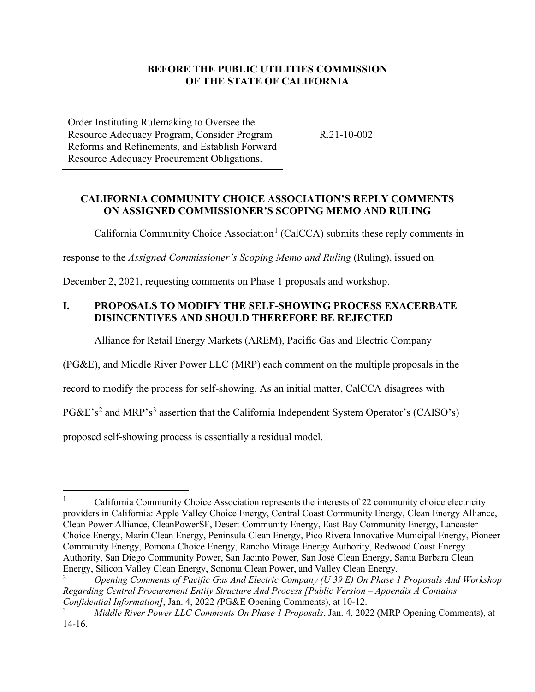## **BEFORE THE PUBLIC UTILITIES COMMISSION OF THE STATE OF CALIFORNIA**

Order Instituting Rulemaking to Oversee the Resource Adequacy Program, Consider Program Reforms and Refinements, and Establish Forward Resource Adequacy Procurement Obligations.

R.21-10-002

## **CALIFORNIA COMMUNITY CHOICE ASSOCIATION'S REPLY COMMENTS ON ASSIGNED COMMISSIONER'S SCOPING MEMO AND RULING**

California Community Choice Association<sup>1</sup> (CalCCA) submits these reply comments in

response to the *Assigned Commissioner's Scoping Memo and Ruling* (Ruling), issued on

December 2, 2021, requesting comments on Phase 1 proposals and workshop.

## **I. PROPOSALS TO MODIFY THE SELF-SHOWING PROCESS EXACERBATE DISINCENTIVES AND SHOULD THEREFORE BE REJECTED**

Alliance for Retail Energy Markets (AREM), Pacific Gas and Electric Company

(PG&E), and Middle River Power LLC (MRP) each comment on the multiple proposals in the

record to modify the process for self-showing. As an initial matter, CalCCA disagrees with

PG&E's<sup>2</sup> and MRP's<sup>3</sup> assertion that the California Independent System Operator's (CAISO's)

proposed self-showing process is essentially a residual model.

<sup>1</sup> California Community Choice Association represents the interests of 22 community choice electricity providers in California: Apple Valley Choice Energy, Central Coast Community Energy, Clean Energy Alliance, Clean Power Alliance, CleanPowerSF, Desert Community Energy, East Bay Community Energy, Lancaster Choice Energy, Marin Clean Energy, Peninsula Clean Energy, Pico Rivera Innovative Municipal Energy, Pioneer Community Energy, Pomona Choice Energy, Rancho Mirage Energy Authority, Redwood Coast Energy Authority, San Diego Community Power, San Jacinto Power, San José Clean Energy, Santa Barbara Clean Energy, Silicon Valley Clean Energy, Sonoma Clean Power, and Valley Clean Energy.

<sup>2</sup> *Opening Comments of Pacific Gas And Electric Company (U 39 E) On Phase 1 Proposals And Workshop Regarding Central Procurement Entity Structure And Process [Public Version – Appendix A Contains Confidential Information]*, Jan. 4, 2022 *(*PG&E Opening Comments), at 10-12.

<sup>3</sup> *Middle River Power LLC Comments On Phase 1 Proposals*, Jan. 4, 2022 (MRP Opening Comments), at 14-16.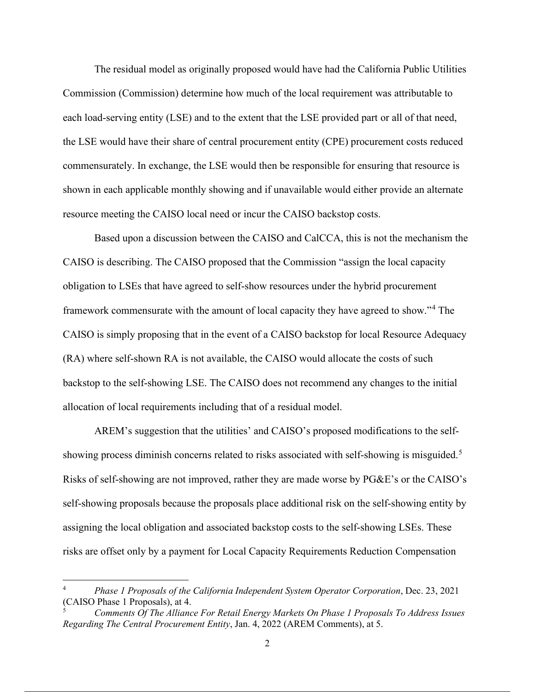The residual model as originally proposed would have had the California Public Utilities Commission (Commission) determine how much of the local requirement was attributable to each load-serving entity (LSE) and to the extent that the LSE provided part or all of that need, the LSE would have their share of central procurement entity (CPE) procurement costs reduced commensurately. In exchange, the LSE would then be responsible for ensuring that resource is shown in each applicable monthly showing and if unavailable would either provide an alternate resource meeting the CAISO local need or incur the CAISO backstop costs.

Based upon a discussion between the CAISO and CalCCA, this is not the mechanism the CAISO is describing. The CAISO proposed that the Commission "assign the local capacity obligation to LSEs that have agreed to self-show resources under the hybrid procurement framework commensurate with the amount of local capacity they have agreed to show."<sup>4</sup> The CAISO is simply proposing that in the event of a CAISO backstop for local Resource Adequacy (RA) where self-shown RA is not available, the CAISO would allocate the costs of such backstop to the self-showing LSE. The CAISO does not recommend any changes to the initial allocation of local requirements including that of a residual model.

AREM's suggestion that the utilities' and CAISO's proposed modifications to the selfshowing process diminish concerns related to risks associated with self-showing is misguided.<sup>5</sup> Risks of self-showing are not improved, rather they are made worse by PG&E's or the CAISO's self-showing proposals because the proposals place additional risk on the self-showing entity by assigning the local obligation and associated backstop costs to the self-showing LSEs. These risks are offset only by a payment for Local Capacity Requirements Reduction Compensation

<sup>4</sup> *Phase 1 Proposals of the California Independent System Operator Corporation*, Dec. 23, 2021 (CAISO Phase 1 Proposals), at 4.

<sup>5</sup> *Comments Of The Alliance For Retail Energy Markets On Phase 1 Proposals To Address Issues Regarding The Central Procurement Entity*, Jan. 4, 2022 (AREM Comments), at 5.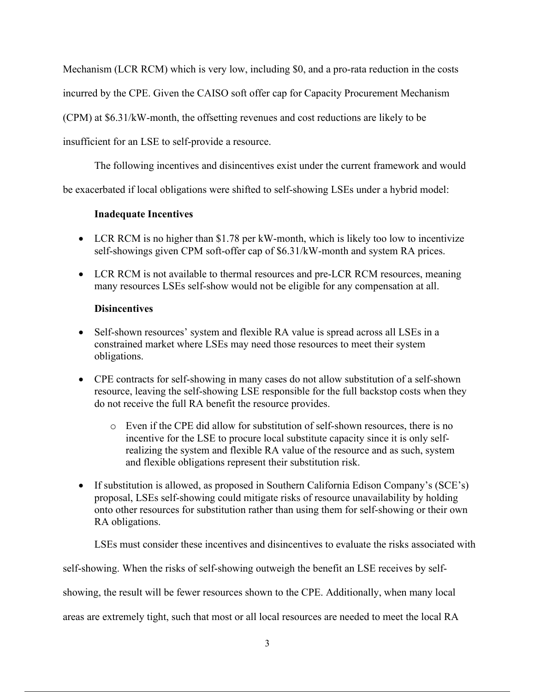Mechanism (LCR RCM) which is very low, including \$0, and a pro-rata reduction in the costs

incurred by the CPE. Given the CAISO soft offer cap for Capacity Procurement Mechanism

(CPM) at \$6.31/kW-month, the offsetting revenues and cost reductions are likely to be

insufficient for an LSE to self-provide a resource.

The following incentives and disincentives exist under the current framework and would

be exacerbated if local obligations were shifted to self-showing LSEs under a hybrid model:

## **Inadequate Incentives**

- LCR RCM is no higher than \$1.78 per kW-month, which is likely too low to incentivize self-showings given CPM soft-offer cap of \$6.31/kW-month and system RA prices.
- LCR RCM is not available to thermal resources and pre-LCR RCM resources, meaning many resources LSEs self-show would not be eligible for any compensation at all.

## **Disincentives**

- Self-shown resources' system and flexible RA value is spread across all LSEs in a constrained market where LSEs may need those resources to meet their system obligations.
- CPE contracts for self-showing in many cases do not allow substitution of a self-shown resource, leaving the self-showing LSE responsible for the full backstop costs when they do not receive the full RA benefit the resource provides.
	- o Even if the CPE did allow for substitution of self-shown resources, there is no incentive for the LSE to procure local substitute capacity since it is only selfrealizing the system and flexible RA value of the resource and as such, system and flexible obligations represent their substitution risk.
- If substitution is allowed, as proposed in Southern California Edison Company's (SCE's) proposal, LSEs self-showing could mitigate risks of resource unavailability by holding onto other resources for substitution rather than using them for self-showing or their own RA obligations.

LSEs must consider these incentives and disincentives to evaluate the risks associated with

self-showing. When the risks of self-showing outweigh the benefit an LSE receives by self-

showing, the result will be fewer resources shown to the CPE. Additionally, when many local

areas are extremely tight, such that most or all local resources are needed to meet the local RA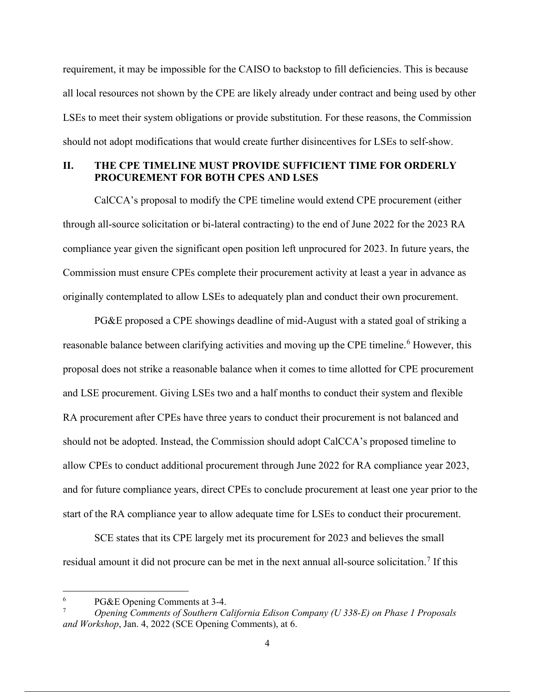requirement, it may be impossible for the CAISO to backstop to fill deficiencies. This is because all local resources not shown by the CPE are likely already under contract and being used by other LSEs to meet their system obligations or provide substitution. For these reasons, the Commission should not adopt modifications that would create further disincentives for LSEs to self-show.

### **II. THE CPE TIMELINE MUST PROVIDE SUFFICIENT TIME FOR ORDERLY PROCUREMENT FOR BOTH CPES AND LSES**

CalCCA's proposal to modify the CPE timeline would extend CPE procurement (either through all-source solicitation or bi-lateral contracting) to the end of June 2022 for the 2023 RA compliance year given the significant open position left unprocured for 2023. In future years, the Commission must ensure CPEs complete their procurement activity at least a year in advance as originally contemplated to allow LSEs to adequately plan and conduct their own procurement.

PG&E proposed a CPE showings deadline of mid-August with a stated goal of striking a reasonable balance between clarifying activities and moving up the CPE timeline.<sup>6</sup> However, this proposal does not strike a reasonable balance when it comes to time allotted for CPE procurement and LSE procurement. Giving LSEs two and a half months to conduct their system and flexible RA procurement after CPEs have three years to conduct their procurement is not balanced and should not be adopted. Instead, the Commission should adopt CalCCA's proposed timeline to allow CPEs to conduct additional procurement through June 2022 for RA compliance year 2023, and for future compliance years, direct CPEs to conclude procurement at least one year prior to the start of the RA compliance year to allow adequate time for LSEs to conduct their procurement.

SCE states that its CPE largely met its procurement for 2023 and believes the small residual amount it did not procure can be met in the next annual all-source solicitation.<sup>7</sup> If this

<sup>6</sup> PG&E Opening Comments at 3-4.

<sup>7</sup> *Opening Comments of Southern California Edison Company (U 338-E) on Phase 1 Proposals and Workshop*, Jan. 4, 2022 (SCE Opening Comments), at 6.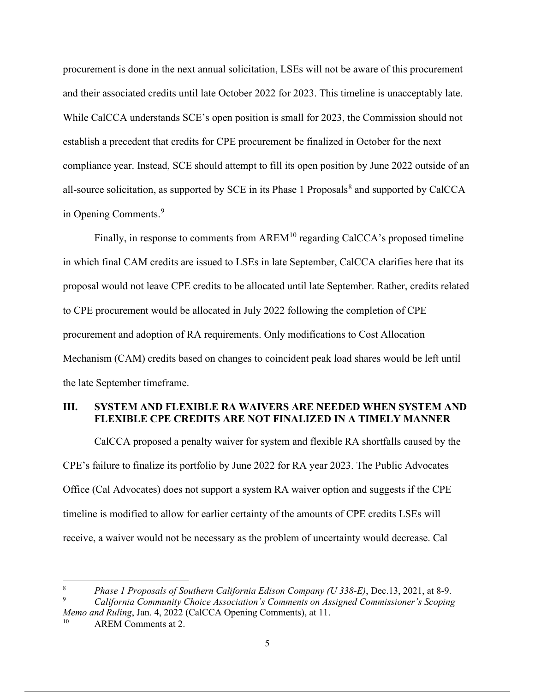procurement is done in the next annual solicitation, LSEs will not be aware of this procurement and their associated credits until late October 2022 for 2023. This timeline is unacceptably late. While CalCCA understands SCE's open position is small for 2023, the Commission should not establish a precedent that credits for CPE procurement be finalized in October for the next compliance year. Instead, SCE should attempt to fill its open position by June 2022 outside of an all-source solicitation, as supported by SCE in its Phase 1 Proposals<sup>8</sup> and supported by CalCCA in Opening Comments.<sup>9</sup>

Finally, in response to comments from AREM<sup>10</sup> regarding CalCCA's proposed timeline in which final CAM credits are issued to LSEs in late September, CalCCA clarifies here that its proposal would not leave CPE credits to be allocated until late September. Rather, credits related to CPE procurement would be allocated in July 2022 following the completion of CPE procurement and adoption of RA requirements. Only modifications to Cost Allocation Mechanism (CAM) credits based on changes to coincident peak load shares would be left until the late September timeframe.

### **III. SYSTEM AND FLEXIBLE RA WAIVERS ARE NEEDED WHEN SYSTEM AND FLEXIBLE CPE CREDITS ARE NOT FINALIZED IN A TIMELY MANNER**

CalCCA proposed a penalty waiver for system and flexible RA shortfalls caused by the CPE's failure to finalize its portfolio by June 2022 for RA year 2023. The Public Advocates Office (Cal Advocates) does not support a system RA waiver option and suggests if the CPE timeline is modified to allow for earlier certainty of the amounts of CPE credits LSEs will receive, a waiver would not be necessary as the problem of uncertainty would decrease. Cal

<sup>8</sup> *Phase 1 Proposals of Southern California Edison Company (U 338-E)*, Dec.13, 2021, at 8-9.

<sup>9</sup> *California Community Choice Association's Comments on Assigned Commissioner's Scoping Memo and Ruling*, Jan. 4, 2022 (CalCCA Opening Comments), at 11.

AREM Comments at 2.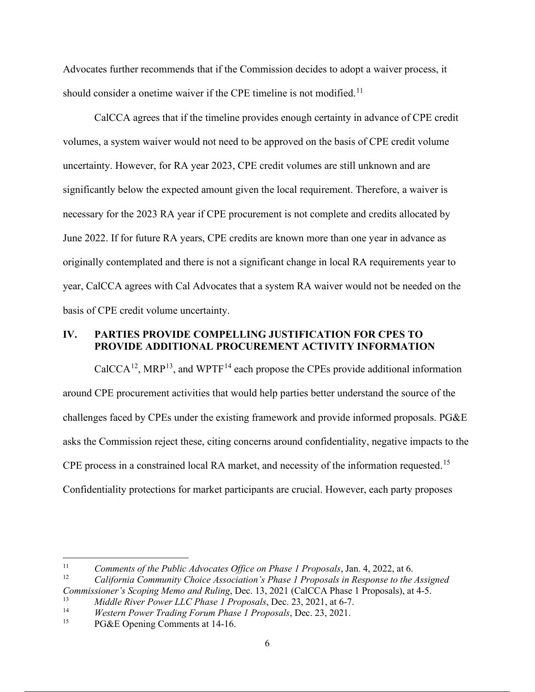Advocates further recommends that if the Commission decides to adopt a waiver process, it should consider a onetime waiver if the CPE timeline is not modified.<sup>11</sup>

CalCCA agrees that if the timeline provides enough certainty in advance of CPE credit volumes, a system waiver would not need to be approved on the basis of CPE credit volume uncertainty. However, for RA year 2023, CPE credit volumes are still unknown and are significantly below the expected amount given the local requirement. Therefore, a waiver is necessary for the 2023 RA year if CPE procurement is not complete and credits allocated by June 2022. If for future RA years, CPE credits are known more than one year in advance as originally contemplated and there is not a significant change in local RA requirements year to year, CalCCA agrees with Cal Advocates that a system RA waiver would not be needed on the basis of CPE credit volume uncertainty.

### **IV. PARTIES PROVIDE COMPELLING JUSTIFICATION FOR CPES TO PROVIDE ADDITIONAL PROCUREMENT ACTIVITY INFORMATION**

 $CalCCA<sup>12</sup>$ , MRP<sup>13</sup>, and WPTF<sup>14</sup> each propose the CPEs provide additional information around CPE procurement activities that would help parties better understand the source of the challenges faced by CPEs under the existing framework and provide informed proposals. PG&E asks the Commission reject these, citing concerns around confidentiality, negative impacts to the CPE process in a constrained local RA market, and necessity of the information requested.<sup>15</sup> Confidentiality protections for market participants are crucial. However, each party proposes

<sup>&</sup>lt;sup>11</sup> *Comments of the Public Advocates Office on Phase 1 Proposals*, Jan. 4, 2022, at 6.<br>California Community Chaige Association's Phase 1 Proposals in Pasponse to the

<sup>12</sup> *California Community Choice Association's Phase 1 Proposals in Response to the Assigned Commissioner's Scoping Memo and Ruling*, Dec. 13, 2021 (CalCCA Phase 1 Proposals), at 4-5.

<sup>13</sup> *Middle River Power LLC Phase 1 Proposals*, Dec. 23, 2021, at 6-7.

<sup>14</sup> *Western Power Trading Forum Phase 1 Proposals*, Dec. 23, 2021.

PG&E Opening Comments at 14-16.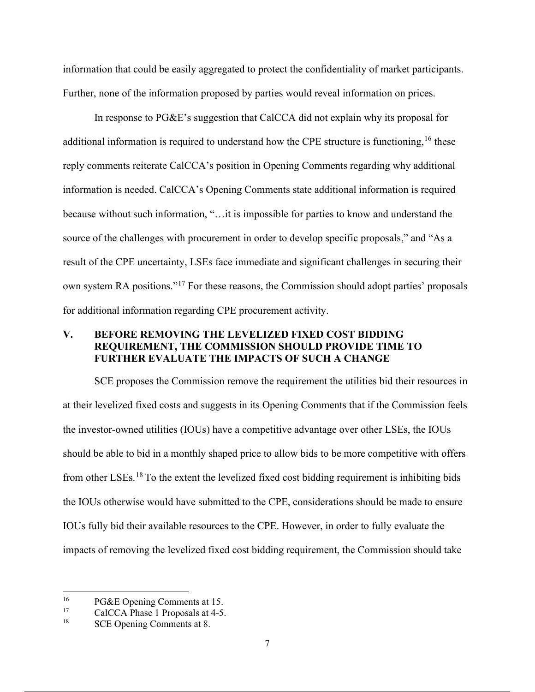information that could be easily aggregated to protect the confidentiality of market participants. Further, none of the information proposed by parties would reveal information on prices.

In response to PG&E's suggestion that CalCCA did not explain why its proposal for additional information is required to understand how the CPE structure is functioning,  $16$  these reply comments reiterate CalCCA's position in Opening Comments regarding why additional information is needed. CalCCA's Opening Comments state additional information is required because without such information, "…it is impossible for parties to know and understand the source of the challenges with procurement in order to develop specific proposals," and "As a result of the CPE uncertainty, LSEs face immediate and significant challenges in securing their own system RA positions."17 For these reasons, the Commission should adopt parties' proposals for additional information regarding CPE procurement activity.

### **V. BEFORE REMOVING THE LEVELIZED FIXED COST BIDDING REQUIREMENT, THE COMMISSION SHOULD PROVIDE TIME TO FURTHER EVALUATE THE IMPACTS OF SUCH A CHANGE**

SCE proposes the Commission remove the requirement the utilities bid their resources in at their levelized fixed costs and suggests in its Opening Comments that if the Commission feels the investor-owned utilities (IOUs) have a competitive advantage over other LSEs, the IOUs should be able to bid in a monthly shaped price to allow bids to be more competitive with offers from other LSEs.<sup>18</sup> To the extent the levelized fixed cost bidding requirement is inhibiting bids the IOUs otherwise would have submitted to the CPE, considerations should be made to ensure IOUs fully bid their available resources to the CPE. However, in order to fully evaluate the impacts of removing the levelized fixed cost bidding requirement, the Commission should take

<sup>&</sup>lt;sup>16</sup> PG&E Opening Comments at 15.<br><sup>17</sup> CalCCA Phase 1 Proposals at 4.5

<sup>&</sup>lt;sup>17</sup> CalCCA Phase 1 Proposals at 4-5.<br><sup>18</sup> SCE Opening Commonta at 8

SCE Opening Comments at 8.